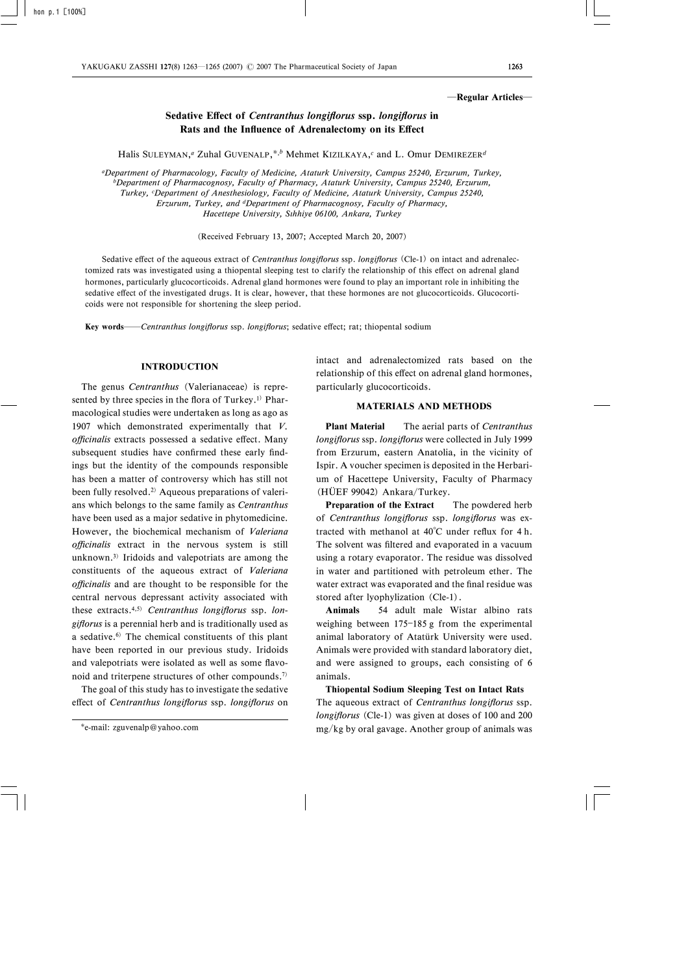#### ―Regular Articles―

# Sedative Effect of Centranthus longiflorus ssp. longiflorus in Rats and the Influence of Adrenalectomy on its Effect

Halis SULEYMAN,<sup>*a*</sup> Zuhal GUVENALP,<sup>\*,*b*</sup> Mehmet KIZILKAYA,<sup>*c*</sup> and L. Omur DEMIREZER<sup>d</sup>

aDepartment of Pharmacology, Faculty of Medicine, Ataturk University, Campus 25240, Erzurum, Turkey, bDepartment of Pharmacognosy, Faculty of Pharmacy, Ataturk University, Campus 25240, Erzurum, Turkey, <sup>c</sup>Department of Anesthesiology, Faculty of Medicine, Ataturk University, Campus 25240, Erzurum, Turkey, and dDepartment of Pharmacognosy, Faculty of Pharmacy, Hacettepe University, Sthhiye 06100, Ankara, Turkey

(Received February 13, 2007; Accepted March 20, 2007)

Sedative effect of the aqueous extract of Centranthus longiflorus ssp. longiflorus (Cle-1) on intact and adrenalectomized rats was investigated using a thiopental sleeping test to clarify the relationship of this effect on adrenal gland hormones, particularly glucocorticoids. Adrenal gland hormones were found to play an important role in inhibiting the sedative effect of the investigated drugs. It is clear, however, that these hormones are not glucocorticoids. Glucocorticoids were not responsible for shortening the sleep period.

Key words—Centranthus longiflorus ssp. longiflorus; sedative effect; rat; thiopental sodium

### INTRODUCTION

The genus Centranthus (Valerianaceae) is represented by three species in the flora of Turkey.<sup>1)</sup> Pharmacological studies were undertaken as long as ago as 1907 which demonstrated experimentally that V. officinalis extracts possessed a sedative effect. Many subsequent studies have confirmed these early findings but the identity of the compounds responsible has been a matter of controversy which has still not been fully resolved.<sup>2)</sup> Aqueous preparations of valerians which belongs to the same family as Centranthus have been used as a major sedative in phytomedicine. However, the biochemical mechanism of Valeriana officinalis extract in the nervous system is still unknown.3) Iridoids and valepotriats are among the constituents of the aqueous extract of Valeriana officinalis and are thought to be responsible for the central nervous depressant activity associated with these extracts.<sup>4,5)</sup> Centranthus longiflorus ssp. longiflorus is a perennial herb and is traditionally used as a sedative.6) The chemical constituents of this plant have been reported in our previous study. Iridoids and valepotriats were isolated as well as some flavonoid and triterpene structures of other compounds.7)

The goal of this study has to investigate the sedative effect of Centranthus longiflorus ssp. longiflorus on intact and adrenalectomized rats based on the relationship of this effect on adrenal gland hormones, particularly glucocorticoids.

## MATERIALS AND METHODS

**Plant Material** The aerial parts of *Centranthus* longiflorus ssp. longiflorus were collected in July 1999 from Erzurum, eastern Anatolia, in the vicinity of Ispir. A voucher specimen is deposited in the Herbarium of Hacettepe University, Faculty of Pharmacy (HÜEF 99042) Ankara/Turkey.

**Preparation of the Extract** The powdered herb of Centranthus longiflorus ssp. longiflorus was extracted with methanol at  $40^{\circ}$ C under reflux for 4 h. The solvent was filtered and evaporated in a vacuum using a rotary evaporator. The residue was dissolved in water and partitioned with petroleum ether. The water extract was evaporated and the final residue was stored after lyophylization (Cle-1).

Animals 54 adult male Wistar albino rats weighing between  $175-185$  g from the experimental animal laboratory of Atatürk University were used. Animals were provided with standard laboratory diet, and were assigned to groups, each consisting of 6 animals.

Thiopental Sodium Sleeping Test on Intact Rats The aqueous extract of Centranthus longiflorus ssp. longiflorus (Cle-1) was given at doses of  $100$  and  $200$ mg/kg by oral gavage. Another group of animals was

e-mail: zguvenalp@yahoo.com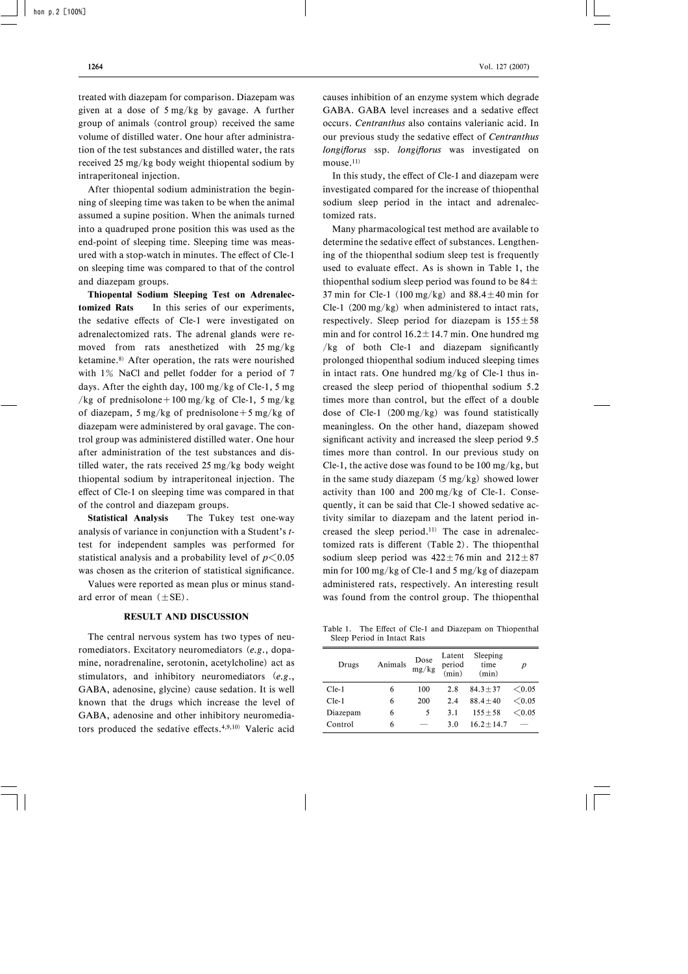treated with diazepam for comparison. Diazepam was given at a dose of 5 mg/kg by gavage. A further group of animals (control group) received the same volume of distilled water. One hour after administration of the test substances and distilled water, the rats received 25 mg/kg body weight thiopental sodium by intraperitoneal injection.

After thiopental sodium administration the beginning of sleeping time was taken to be when the animal assumed a supine position. When the animals turned into a quadruped prone position this was used as the end-point of sleeping time. Sleeping time was measured with a stop-watch in minutes. The effect of Cle-1 on sleeping time was compared to that of the control and diazepam groups.

Thiopental Sodium Sleeping Test on Adrenalectomized Rats In this series of our experiments, the sedative effects of Cle-1 were investigated on adrenalectomized rats. The adrenal glands were removed from rats anesthetized with 25 mg/kg ketamine.8) After operation, the rats were nourished with 1% NaCl and pellet fodder for a period of 7 days. After the eighth day, 100 mg/kg of Cle-1, 5 mg /kg of prednisolone + 100 mg/kg of Cle-1, 5 mg/kg of diazepam, 5 mg/kg of prednisolone + 5 mg/kg of diazepam were administered by oral gavage. The control group was administered distilled water. One hour after administration of the test substances and distilled water, the rats received 25 mg/kg body weight thiopental sodium by intraperitoneal injection. The effect of Cle-1 on sleeping time was compared in that of the control and diazepam groups.

Statistical Analysis The Tukey test one-way analysis of variance in conjunction with a Student's ttest for independent samples was performed for statistical analysis and a probability level of  $p\leq 0.05$ was chosen as the criterion of statistical significance.

Values were reported as mean plus or minus standard error of mean  $(\pm SE)$ .

# RESULT AND DISCUSSION

The central nervous system has two types of neuromediators. Excitatory neuromediators (e.g., dopamine, noradrenaline, serotonin, acetylcholine) act as stimulators, and inhibitory neuromediators (e.g., GABA, adenosine, glycine) cause sedation. It is well known that the drugs which increase the level of GABA, adenosine and other inhibitory neuromediators produced the sedative effects.<sup>4,9,10)</sup> Valeric acid causes inhibition of an enzyme system which degrade GABA. GABA level increases and a sedative effect occurs. Centranthus also contains valerianic acid. In our previous study the sedative effect of Centranthus longiflorus ssp. longiflorus was investigated on mouse.<sup>11)</sup>

In this study, the effect of Cle-1 and diazepam were investigated compared for the increase of thiopenthal sodium sleep period in the intact and adrenalectomized rats.

Many pharmacological test method are available to determine the sedative effect of substances. Lengthening of the thiopenthal sodium sleep test is frequently used to evaluate effect. As is shown in Table 1, the thiopenthal sodium sleep period was found to be  $84\pm$ 37 min for Cle-1 (100 mg/kg) and  $88.4 \pm 40$  min for Cle-1  $(200 \text{ mg/kg})$  when administered to intact rats, respectively. Sleep period for diazepam is  $155 \pm 58$ min and for control  $16.2 \pm 14.7$  min. One hundred mg  $/kg$  of both Cle-1 and diazepam significantly prolonged thiopenthal sodium induced sleeping times in intact rats. One hundred mg/kg of Cle-1 thus increased the sleep period of thiopenthal sodium 5.2 times more than control, but the effect of a double dose of Cle-1 (200 mg/kg) was found statistically meaningless. On the other hand, diazepam showed significant activity and increased the sleep period 9.5 times more than control. In our previous study on Cle-1, the active dose was found to be  $100 \text{ mg/kg}$ , but in the same study diazepam  $(5 \text{ mg/kg})$  showed lower activity than  $100$  and  $200$  mg/kg of Cle-1. Consequently, it can be said that Cle-1 showed sedative activity similar to diazepam and the latent period increased the sleep period.11) The case in adrenalectomized rats is different (Table 2). The thiopenthal sodium sleep period was  $422 \pm 76$  min and  $212 \pm 87$ min for 100 mg/kg of Cle-1 and 5 mg/kg of diazepam administered rats, respectively. An interesting result was found from the control group. The thiopenthal

Table 1. The Effect of Cle-1 and Diazepam on Thiopenthal Sleep Period in Intact Rats

| Drugs    | Animals | Dose<br>mg/kg | Latent<br>period<br>(min) | Sleeping<br>time<br>(min) | p      |
|----------|---------|---------------|---------------------------|---------------------------|--------|
| Cle-1    | 6       | 100           | 2.8                       | $84.3 \pm 37$             | < 0.05 |
| $Cle-1$  | 6       | 200           | 2.4                       | $88.4 \pm 40$             | < 0.05 |
| Diazepam | 6       | 5             | 3.1                       | $155 \pm 58$              | < 0.05 |
| Control  | 6       |               | 3.0                       | $16.2 + 14.7$             |        |